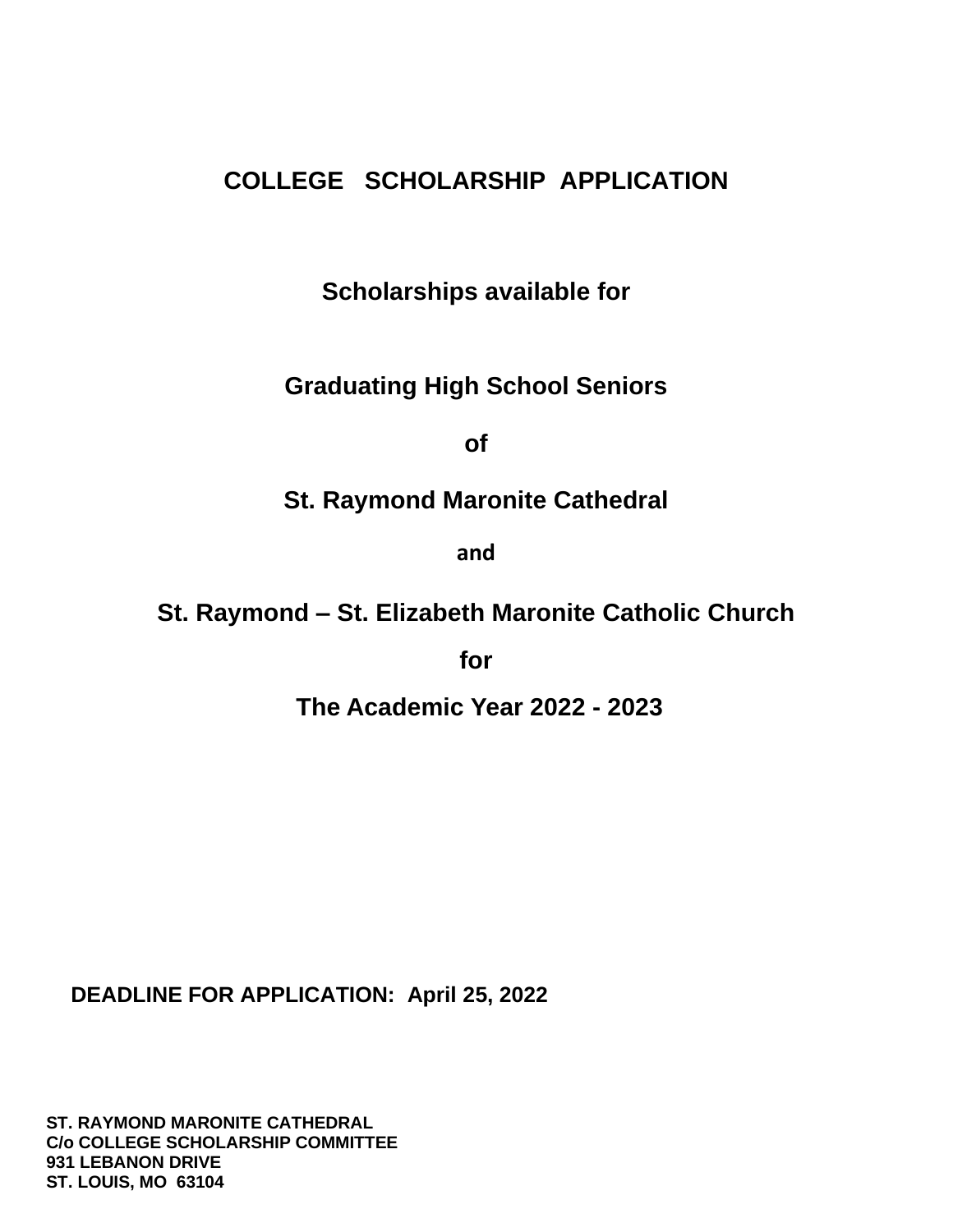# **COLLEGE SCHOLARSHIP APPLICATION**

**Scholarships available for** 

**Graduating High School Seniors**

**of**

**St. Raymond Maronite Cathedral**

**and**

**St. Raymond – St. Elizabeth Maronite Catholic Church**

**for**

**The Academic Year 2022 - 2023**

 **DEADLINE FOR APPLICATION: April 25, 2022**

 **ST. RAYMOND MARONITE CATHEDRAL C/o COLLEGE SCHOLARSHIP COMMITTEE 931 LEBANON DRIVE ST. LOUIS, MO 63104**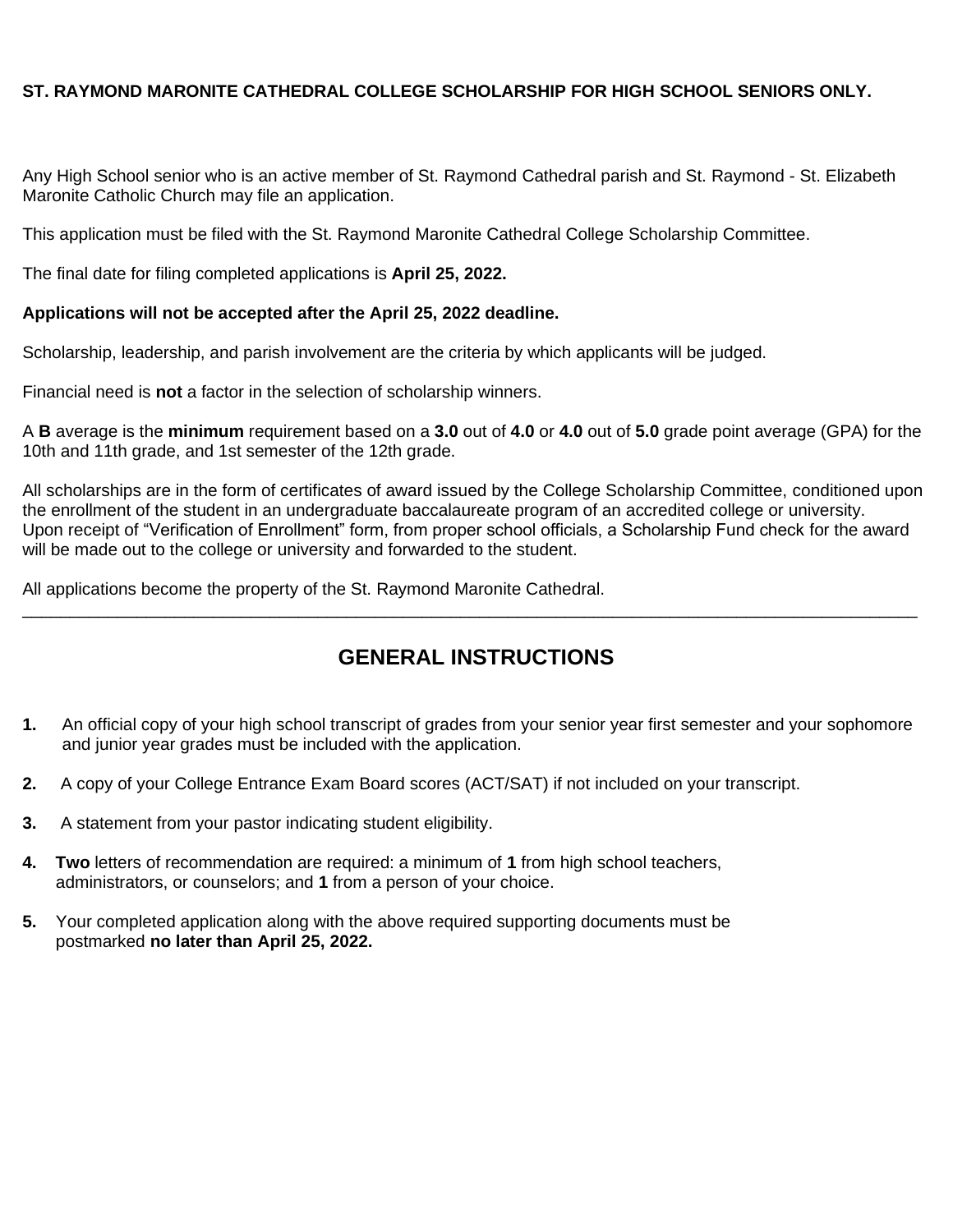#### **ST. RAYMOND MARONITE CATHEDRAL COLLEGE SCHOLARSHIP FOR HIGH SCHOOL SENIORS ONLY.**

Any High School senior who is an active member of St. Raymond Cathedral parish and St. Raymond - St. Elizabeth Maronite Catholic Church may file an application.

This application must be filed with the St. Raymond Maronite Cathedral College Scholarship Committee.

The final date for filing completed applications is **April 25, 2022.**

#### **Applications will not be accepted after the April 25, 2022 deadline.**

Scholarship, leadership, and parish involvement are the criteria by which applicants will be judged.

Financial need is **not** a factor in the selection of scholarship winners.

A **B** average is the **minimum** requirement based on a **3.0** out of **4.0** or **4.0** out of **5.0** grade point average (GPA) for the 10th and 11th grade, and 1st semester of the 12th grade.

All scholarships are in the form of certificates of award issued by the College Scholarship Committee, conditioned upon the enrollment of the student in an undergraduate baccalaureate program of an accredited college or university. Upon receipt of "Verification of Enrollment" form, from proper school officials, a Scholarship Fund check for the award will be made out to the college or university and forwarded to the student.

All applications become the property of the St. Raymond Maronite Cathedral. \_\_\_\_\_\_\_\_\_\_\_\_\_\_\_\_\_\_\_\_\_\_\_\_\_\_\_\_\_\_\_\_\_\_\_\_\_\_\_\_\_\_\_\_\_\_\_\_\_\_\_\_\_\_\_\_\_\_\_\_\_\_\_\_\_\_\_\_\_\_\_\_\_\_\_\_\_\_\_\_\_\_\_\_\_\_\_\_\_\_\_\_\_\_

## **GENERAL INSTRUCTIONS**

- **1.** An official copy of your high school transcript of grades from your senior year first semester and your sophomore and junior year grades must be included with the application.
- **2.** A copy of your College Entrance Exam Board scores (ACT/SAT) if not included on your transcript.
- **3.** A statement from your pastor indicating student eligibility.
- **4. Two** letters of recommendation are required: a minimum of **1** from high school teachers, administrators, or counselors; and **1** from a person of your choice.
- **5.** Your completed application along with the above required supporting documents must be postmarked **no later than April 25, 2022.**